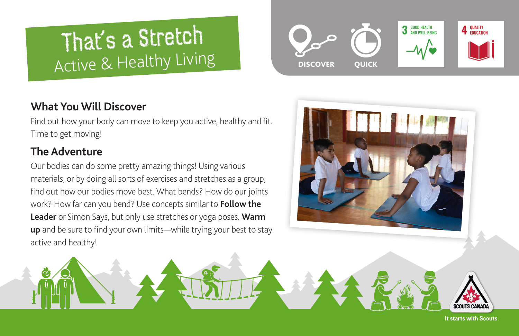# That's a Stretch Active & Healthy Living

# **What You Will Discover**

Find out how your body can move to keep you active, healthy and fit. Time to get moving!

# **The Adventure**

Our bodies can do some pretty amazing things! Using various materials, or by doing all sorts of exercises and stretches as a group, find out how our bodies move best. What bends? How do our joints work? How far can you bend? Use concepts similar to **[Follow the](http://www.push2play.ca/games/follow-the-leader/)  [Leader](http://www.push2play.ca/games/follow-the-leader/)** or Simon Says, but only use stretches or yoga poses. **[Warm](https://www.activekids.com/soccer/articles/10-dynamic-warm-up-exercises-for-youth-athletes/slide-3)  [up](https://www.activekids.com/soccer/articles/10-dynamic-warm-up-exercises-for-youth-athletes/slide-3)** and be sure to find your own limits—while trying your best to stay active and healthy!







It starts with Scouts.